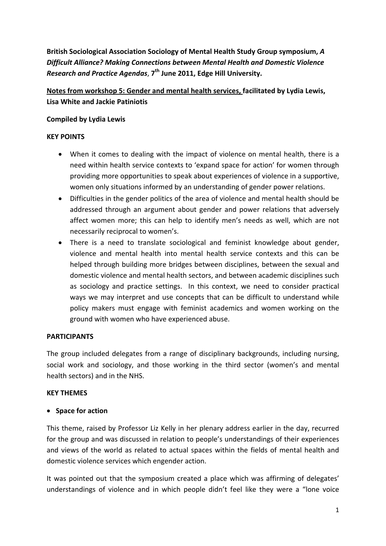**British Sociological Association Sociology of Mental Health Study Group symposium,** *A Difficult Alliance? Making Connections between Mental Health and Domestic Violence Research and Practice Agendas*, **7th June 2011, Edge Hill University.**

**Notes from workshop 5: Gender and mental health services, facilitated by Lydia Lewis, Lisa White and Jackie Patiniotis**

## **Compiled by Lydia Lewis**

## **KEY POINTS**

- When it comes to dealing with the impact of violence on mental health, there is a need within health service contexts to 'expand space for action' for women through providing more opportunities to speak about experiences of violence in a supportive, women only situations informed by an understanding of gender power relations.
- Difficulties in the gender politics of the area of violence and mental health should be addressed through an argument about gender and power relations that adversely affect women more; this can help to identify men's needs as well, which are not necessarily reciprocal to women's.
- There is a need to translate sociological and feminist knowledge about gender, violence and mental health into mental health service contexts and this can be helped through building more bridges between disciplines, between the sexual and domestic violence and mental health sectors, and between academic disciplines such as sociology and practice settings. In this context, we need to consider practical ways we may interpret and use concepts that can be difficult to understand while policy makers must engage with feminist academics and women working on the ground with women who have experienced abuse.

## **PARTICIPANTS**

The group included delegates from a range of disciplinary backgrounds, including nursing, social work and sociology, and those working in the third sector (women's and mental health sectors) and in the NHS.

## **KEY THEMES**

# **Space for action**

This theme, raised by Professor Liz Kelly in her plenary address earlier in the day, recurred for the group and was discussed in relation to people's understandings of their experiences and views of the world as related to actual spaces within the fields of mental health and domestic violence services which engender action.

It was pointed out that the symposium created a place which was affirming of delegates' understandings of violence and in which people didn't feel like they were a "lone voice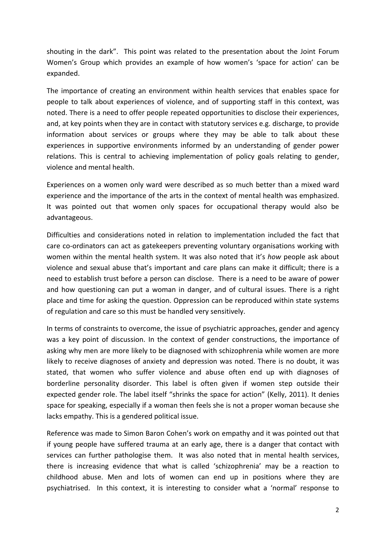shouting in the dark". This point was related to the presentation about the Joint Forum Women's Group which provides an example of how women's 'space for action' can be expanded.

The importance of creating an environment within health services that enables space for people to talk about experiences of violence, and of supporting staff in this context, was noted. There is a need to offer people repeated opportunities to disclose their experiences, and, at key points when they are in contact with statutory services e.g. discharge, to provide information about services or groups where they may be able to talk about these experiences in supportive environments informed by an understanding of gender power relations. This is central to achieving implementation of policy goals relating to gender, violence and mental health.

Experiences on a women only ward were described as so much better than a mixed ward experience and the importance of the arts in the context of mental health was emphasized. It was pointed out that women only spaces for occupational therapy would also be advantageous.

Difficulties and considerations noted in relation to implementation included the fact that care co-ordinators can act as gatekeepers preventing voluntary organisations working with women within the mental health system. It was also noted that it's *how* people ask about violence and sexual abuse that's important and care plans can make it difficult; there is a need to establish trust before a person can disclose. There is a need to be aware of power and how questioning can put a woman in danger, and of cultural issues. There is a right place and time for asking the question. Oppression can be reproduced within state systems of regulation and care so this must be handled very sensitively.

In terms of constraints to overcome, the issue of psychiatric approaches, gender and agency was a key point of discussion. In the context of gender constructions, the importance of asking why men are more likely to be diagnosed with schizophrenia while women are more likely to receive diagnoses of anxiety and depression was noted. There is no doubt, it was stated, that women who suffer violence and abuse often end up with diagnoses of borderline personality disorder. This label is often given if women step outside their expected gender role. The label itself "shrinks the space for action" (Kelly, 2011). It denies space for speaking, especially if a woman then feels she is not a proper woman because she lacks empathy. This is a gendered political issue.

Reference was made to Simon Baron Cohen's work on empathy and it was pointed out that if young people have suffered trauma at an early age, there is a danger that contact with services can further pathologise them. It was also noted that in mental health services, there is increasing evidence that what is called 'schizophrenia' may be a reaction to childhood abuse. Men and lots of women can end up in positions where they are psychiatrised. In this context, it is interesting to consider what a 'normal' response to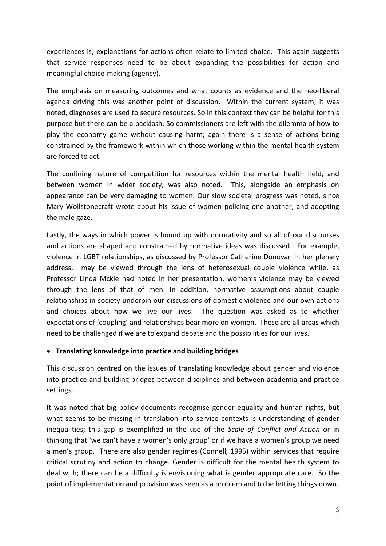experiences is; explanations for actions often relate to limited choice. This again suggests that service responses need to be about expanding the possibilities for action and meaningful choice‐making (agency).

The emphasis on measuring outcomes and what counts as evidence and the neo‐liberal agenda driving this was another point of discussion. Within the current system, it was noted, diagnoses are used to secure resources. So in this context they can be helpful for this purpose but there can be a backlash. So commissioners are left with the dilemma of how to play the economy game without causing harm; again there is a sense of actions being constrained by the framework within which those working within the mental health system are forced to act.

The confining nature of competition for resources within the mental health field, and between women in wider society, was also noted. This, alongside an emphasis on appearance can be very damaging to women. Our slow societal progress was noted, since Mary Wollstonecraft wrote about his issue of women policing one another, and adopting the male gaze.

Lastly, the ways in which power is bound up with normativity and so all of our discourses and actions are shaped and constrained by normative ideas was discussed. For example, violence in LGBT relationships, as discussed by Professor Catherine Donovan in her plenary address, may be viewed through the lens of heterosexual couple violence while, as Professor Linda Mckie had noted in her presentation, women's violence may be viewed through the lens of that of men. In addition, normative assumptions about couple relationships in society underpin our discussions of domestic violence and our own actions and choices about how we live our lives. The question was asked as to whether expectations of 'coupling' and relationships bear more on women. These are all areas which need to be challenged if we are to expand debate and the possibilities for our lives.

## **Translating knowledge into practice and building bridges**

This discussion centred on the issues of translating knowledge about gender and violence into practice and building bridges between disciplines and between academia and practice settings.

It was noted that big policy documents recognise gender equality and human rights, but what seems to be missing in translation into service contexts is understanding of gender inequalities; this gap is exemplified in the use of the *Scale of Conflict and Action* or in thinking that 'we can't have a women's only group' or if we have a women's group we need a men's group. There are also gender regimes (Connell, 1995) within services that require critical scrutiny and action to change. Gender is difficult for the mental health system to deal with; there can be a difficulty is envisioning what is gender appropriate care. So the point of implementation and provision was seen as a problem and to be letting things down.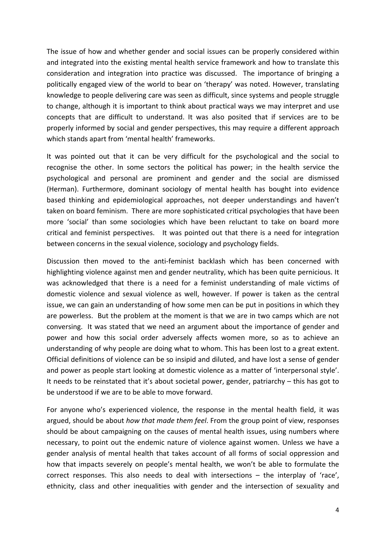The issue of how and whether gender and social issues can be properly considered within and integrated into the existing mental health service framework and how to translate this consideration and integration into practice was discussed. The importance of bringing a politically engaged view of the world to bear on 'therapy' was noted. However, translating knowledge to people delivering care was seen as difficult, since systems and people struggle to change, although it is important to think about practical ways we may interpret and use concepts that are difficult to understand. It was also posited that if services are to be properly informed by social and gender perspectives, this may require a different approach which stands apart from 'mental health' frameworks.

It was pointed out that it can be very difficult for the psychological and the social to recognise the other. In some sectors the political has power; in the health service the psychological and personal are prominent and gender and the social are dismissed (Herman). Furthermore, dominant sociology of mental health has bought into evidence based thinking and epidemiological approaches, not deeper understandings and haven't taken on board feminism. There are more sophisticated critical psychologies that have been more 'social' than some sociologies which have been reluctant to take on board more critical and feminist perspectives. It was pointed out that there is a need for integration between concerns in the sexual violence, sociology and psychology fields.

Discussion then moved to the anti-feminist backlash which has been concerned with highlighting violence against men and gender neutrality, which has been quite pernicious. It was acknowledged that there is a need for a feminist understanding of male victims of domestic violence and sexual violence as well, however. If power is taken as the central issue, we can gain an understanding of how some men can be put in positions in which they are powerless. But the problem at the moment is that we are in two camps which are not conversing. It was stated that we need an argument about the importance of gender and power and how this social order adversely affects women more, so as to achieve an understanding of why people are doing what to whom. This has been lost to a great extent. Official definitions of violence can be so insipid and diluted, and have lost a sense of gender and power as people start looking at domestic violence as a matter of 'interpersonal style'. It needs to be reinstated that it's about societal power, gender, patriarchy – this has got to be understood if we are to be able to move forward.

For anyone who's experienced violence, the response in the mental health field, it was argued, should be about *how that made them feel*. From the group point of view, responses should be about campaigning on the causes of mental health issues, using numbers where necessary, to point out the endemic nature of violence against women. Unless we have a gender analysis of mental health that takes account of all forms of social oppression and how that impacts severely on people's mental health, we won't be able to formulate the correct responses. This also needs to deal with intersections – the interplay of 'race', ethnicity, class and other inequalities with gender and the intersection of sexuality and